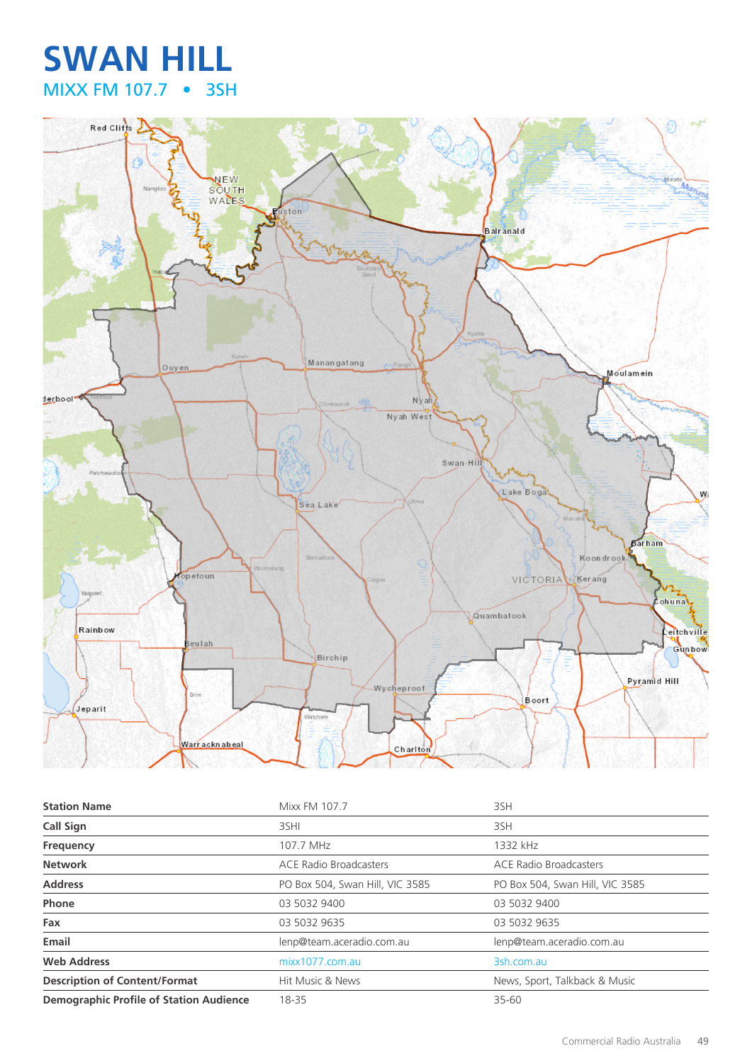## **SWAN HILL** MIXX FM 107.7 • 3SH



| <b>Station Name</b>                            | Mixx FM 107.7                   | 3SH                             |
|------------------------------------------------|---------------------------------|---------------------------------|
| <b>Call Sign</b>                               | 3SHI                            | 3SH                             |
| Frequency                                      | 107.7 MHz                       | 1332 kHz                        |
| <b>Network</b>                                 | <b>ACE Radio Broadcasters</b>   | <b>ACE Radio Broadcasters</b>   |
| <b>Address</b>                                 | PO Box 504, Swan Hill, VIC 3585 | PO Box 504, Swan Hill, VIC 3585 |
| Phone                                          | 03 5032 9400                    | 03 5032 9400                    |
| Fax                                            | 03 5032 9635                    | 03 5032 9635                    |
| Email                                          | lenp@team.aceradio.com.au       | lenp@team.aceradio.com.au       |
| <b>Web Address</b>                             | mixx1077.com.au                 | 3sh.com.au                      |
| <b>Description of Content/Format</b>           | Hit Music & News                | News, Sport, Talkback & Music   |
| <b>Demographic Profile of Station Audience</b> | 18-35                           | 35-60                           |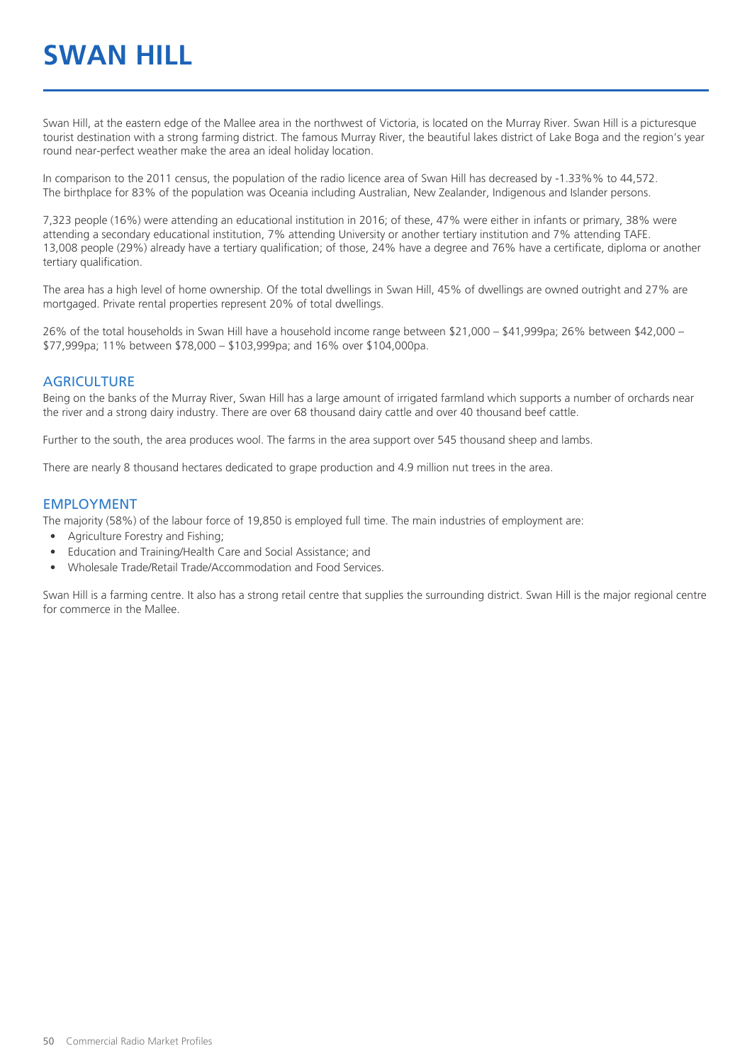# **SWAN HILL**

Swan Hill, at the eastern edge of the Mallee area in the northwest of Victoria, is located on the Murray River. Swan Hill is a picturesque tourist destination with a strong farming district. The famous Murray River, the beautiful lakes district of Lake Boga and the region's year round near-perfect weather make the area an ideal holiday location.

In comparison to the 2011 census, the population of the radio licence area of Swan Hill has decreased by -1.33%% to 44,572. The birthplace for 83% of the population was Oceania including Australian, New Zealander, Indigenous and Islander persons.

7,323 people (16%) were attending an educational institution in 2016; of these, 47% were either in infants or primary, 38% were attending a secondary educational institution, 7% attending University or another tertiary institution and 7% attending TAFE. 13,008 people (29%) already have a tertiary qualification; of those, 24% have a degree and 76% have a certificate, diploma or another tertiary qualification.

The area has a high level of home ownership. Of the total dwellings in Swan Hill, 45% of dwellings are owned outright and 27% are mortgaged. Private rental properties represent 20% of total dwellings.

26% of the total households in Swan Hill have a household income range between \$21,000 – \$41,999pa; 26% between \$42,000 – \$77,999pa; 11% between \$78,000 – \$103,999pa; and 16% over \$104,000pa.

#### **AGRICULTURE**

Being on the banks of the Murray River, Swan Hill has a large amount of irrigated farmland which supports a number of orchards near the river and a strong dairy industry. There are over 68 thousand dairy cattle and over 40 thousand beef cattle.

Further to the south, the area produces wool. The farms in the area support over 545 thousand sheep and lambs.

There are nearly 8 thousand hectares dedicated to grape production and 4.9 million nut trees in the area.

#### EMPLOYMENT

The majority (58%) of the labour force of 19,850 is employed full time. The main industries of employment are:

- Agriculture Forestry and Fishing;
- Education and Training/Health Care and Social Assistance; and
- Wholesale Trade/Retail Trade/Accommodation and Food Services.

Swan Hill is a farming centre. It also has a strong retail centre that supplies the surrounding district. Swan Hill is the major regional centre for commerce in the Mallee.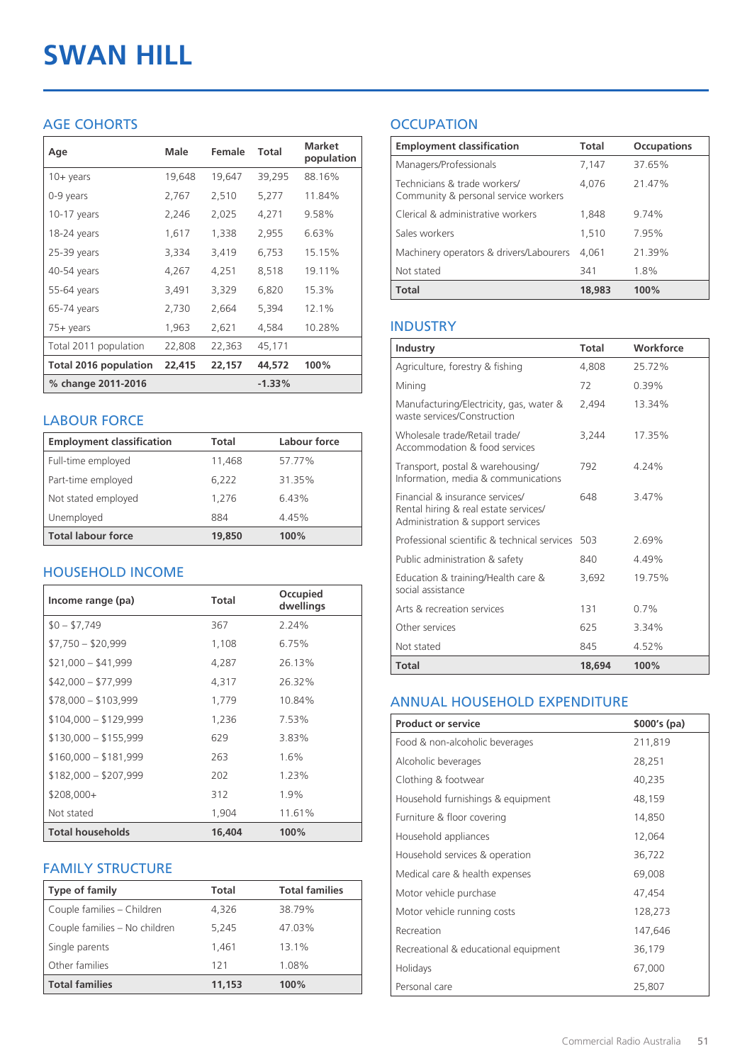# **SWAN HILL**

#### AGE COHORTS

| Age                          | Male   | Female | Total    | <b>Market</b><br>population |
|------------------------------|--------|--------|----------|-----------------------------|
| $10 + \gamma$ ears           | 19,648 | 19,647 | 39,295   | 88.16%                      |
| 0-9 years                    | 2,767  | 2,510  | 5,277    | 11.84%                      |
| $10-17$ years                | 2,246  | 2,025  | 4,271    | 9.58%                       |
| 18-24 years                  | 1,617  | 1,338  | 2,955    | 6.63%                       |
| 25-39 years                  | 3,334  | 3,419  | 6,753    | 15.15%                      |
| 40-54 years                  | 4,267  | 4,251  | 8,518    | 19.11%                      |
| 55-64 years                  | 3,491  | 3,329  | 6,820    | 15.3%                       |
| 65-74 years                  | 2,730  | 2,664  | 5,394    | 12.1%                       |
| $75+$ years                  | 1,963  | 2,621  | 4,584    | 10.28%                      |
| Total 2011 population        | 22,808 | 22,363 | 45,171   |                             |
| <b>Total 2016 population</b> | 22,415 | 22,157 | 44,572   | 100%                        |
| % change 2011-2016           |        |        | $-1.33%$ |                             |

#### LABOUR FORCE

| <b>Employment classification</b> | Total  | Labour force |
|----------------------------------|--------|--------------|
| Full-time employed               | 11,468 | 57.77%       |
| Part-time employed               | 6,222  | 31.35%       |
| Not stated employed              | 1.276  | 6.43%        |
| Unemployed                       | 884    | 4.45%        |
| <b>Total labour force</b>        | 19,850 | 100%         |

#### HOUSEHOLD INCOME

| Income range (pa)       | Total  | Occupied<br>dwellings |
|-------------------------|--------|-----------------------|
| $$0 - $7,749$           | 367    | 2.24%                 |
| $$7,750 - $20,999$      | 1,108  | 6.75%                 |
| $$21,000 - $41,999$     | 4,287  | 26.13%                |
| $$42,000 - $77,999$     | 4,317  | 26.32%                |
| $$78,000 - $103,999$    | 1,779  | 10.84%                |
| $$104,000 - $129,999$   | 1,236  | 7.53%                 |
| $$130,000 - $155,999$   | 629    | 3.83%                 |
| $$160,000 - $181,999$   | 263    | $1.6\%$               |
| $$182,000 - $207,999$   | 202    | 1.23%                 |
| $$208,000+$             | 312    | 1.9%                  |
| Not stated              | 1,904  | 11.61%                |
| <b>Total households</b> | 16,404 | 100%                  |

#### FAMILY STRUCTURE

| <b>Type of family</b>         | <b>Total</b> | <b>Total families</b> |
|-------------------------------|--------------|-----------------------|
| Couple families - Children    | 4,326        | 38.79%                |
| Couple families - No children | 5.245        | 47.03%                |
| Single parents                | 1.461        | 13.1%                 |
| Other families                | 121          | 1.08%                 |
| <b>Total families</b>         | 11,153       | 100%                  |

### **OCCUPATION**

| <b>Employment classification</b>                                     | <b>Total</b> | <b>Occupations</b> |
|----------------------------------------------------------------------|--------------|--------------------|
| Managers/Professionals                                               | 7.147        | 37.65%             |
| Technicians & trade workers/<br>Community & personal service workers | 4,076        | 21.47%             |
| Clerical & administrative workers                                    | 1,848        | 9.74%              |
| Sales workers                                                        | 1,510        | 7.95%              |
| Machinery operators & drivers/Labourers                              | 4.061        | 21.39%             |
| Not stated                                                           | 341          | 1.8%               |
| Total                                                                | 18,983       | 100%               |

#### INDUSTRY

| Industry                                                                                                      | <b>Total</b> | Workforce |
|---------------------------------------------------------------------------------------------------------------|--------------|-----------|
| Agriculture, forestry & fishing                                                                               | 4,808        | 25.72%    |
| Mining                                                                                                        | 72           | $0.39\%$  |
| Manufacturing/Electricity, gas, water &<br>waste services/Construction                                        | 2,494        | 13.34%    |
| Wholesale trade/Retail trade/<br>Accommodation & food services                                                | 3.244        | 17.35%    |
| Transport, postal & warehousing/<br>Information, media & communications                                       | 792          | 4.24%     |
| Financial & insurance services/<br>Rental hiring & real estate services/<br>Administration & support services | 648          | 3.47%     |
| Professional scientific & technical services                                                                  | 503          | 269%      |
| Public administration & safety                                                                                | 840          | 4.49%     |
| Education & training/Health care &<br>social assistance                                                       | 3.692        | 19.75%    |
| Arts & recreation services                                                                                    | 131          | 0.7%      |
| Other services                                                                                                | 625          | 3.34%     |
| Not stated                                                                                                    | 845          | 4.52%     |
| Total                                                                                                         | 18,694       | 100%      |

#### ANNUAL HOUSEHOLD EXPENDITURE

| <b>Product or service</b>            | $$000's$ (pa) |
|--------------------------------------|---------------|
| Food & non-alcoholic beverages       | 211,819       |
| Alcoholic beverages                  | 28,251        |
| Clothing & footwear                  | 40,235        |
| Household furnishings & equipment    | 48,159        |
| Furniture & floor covering           | 14,850        |
| Household appliances                 | 12,064        |
| Household services & operation       | 36,722        |
| Medical care & health expenses       | 69,008        |
| Motor vehicle purchase               | 47,454        |
| Motor vehicle running costs          | 128,273       |
| Recreation                           | 147,646       |
| Recreational & educational equipment | 36,179        |
| Holidays                             | 67,000        |
| Personal care                        | 25,807        |